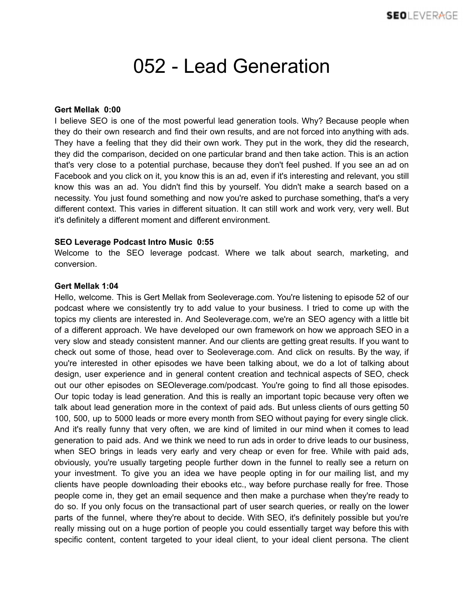## 052 - Lead Generation

## **Gert Mellak 0:00**

I believe SEO is one of the most powerful lead generation tools. Why? Because people when they do their own research and find their own results, and are not forced into anything with ads. They have a feeling that they did their own work. They put in the work, they did the research, they did the comparison, decided on one particular brand and then take action. This is an action that's very close to a potential purchase, because they don't feel pushed. If you see an ad on Facebook and you click on it, you know this is an ad, even if it's interesting and relevant, you still know this was an ad. You didn't find this by yourself. You didn't make a search based on a necessity. You just found something and now you're asked to purchase something, that's a very different context. This varies in different situation. It can still work and work very, very well. But it's definitely a different moment and different environment.

## **SEO Leverage Podcast Intro Music 0:55**

Welcome to the SEO leverage podcast. Where we talk about search, marketing, and conversion.

## **Gert Mellak 1:04**

Hello, welcome. This is Gert Mellak from Seoleverage.com. You're listening to episode 52 of our podcast where we consistently try to add value to your business. I tried to come up with the topics my clients are interested in. And Seoleverage.com, we're an SEO agency with a little bit of a different approach. We have developed our own framework on how we approach SEO in a very slow and steady consistent manner. And our clients are getting great results. If you want to check out some of those, head over to Seoleverage.com. And click on results. By the way, if you're interested in other episodes we have been talking about, we do a lot of talking about design, user experience and in general content creation and technical aspects of SEO, check out our other episodes on SEOleverage.com/podcast. You're going to find all those episodes. Our topic today is lead generation. And this is really an important topic because very often we talk about lead generation more in the context of paid ads. But unless clients of ours getting 50 100, 500, up to 5000 leads or more every month from SEO without paying for every single click. And it's really funny that very often, we are kind of limited in our mind when it comes to lead generation to paid ads. And we think we need to run ads in order to drive leads to our business, when SEO brings in leads very early and very cheap or even for free. While with paid ads, obviously, you're usually targeting people further down in the funnel to really see a return on your investment. To give you an idea we have people opting in for our mailing list, and my clients have people downloading their ebooks etc., way before purchase really for free. Those people come in, they get an email sequence and then make a purchase when they're ready to do so. If you only focus on the transactional part of user search queries, or really on the lower parts of the funnel, where they're about to decide. With SEO, it's definitely possible but you're really missing out on a huge portion of people you could essentially target way before this with specific content, content targeted to your ideal client, to your ideal client persona. The client